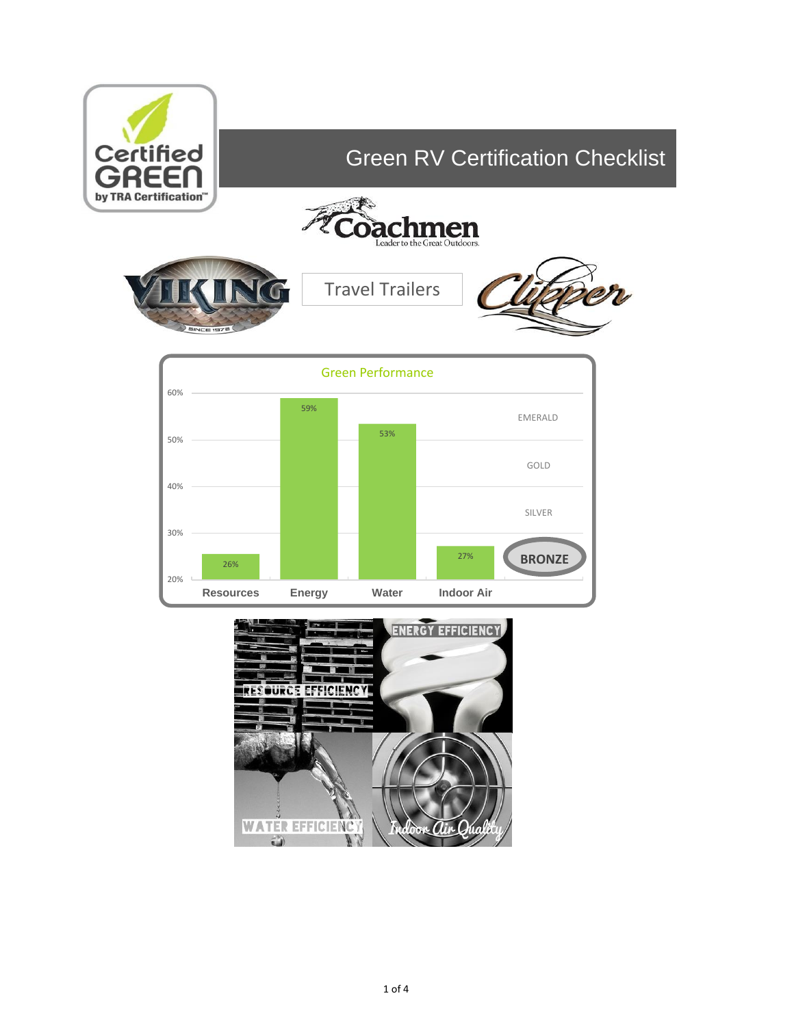



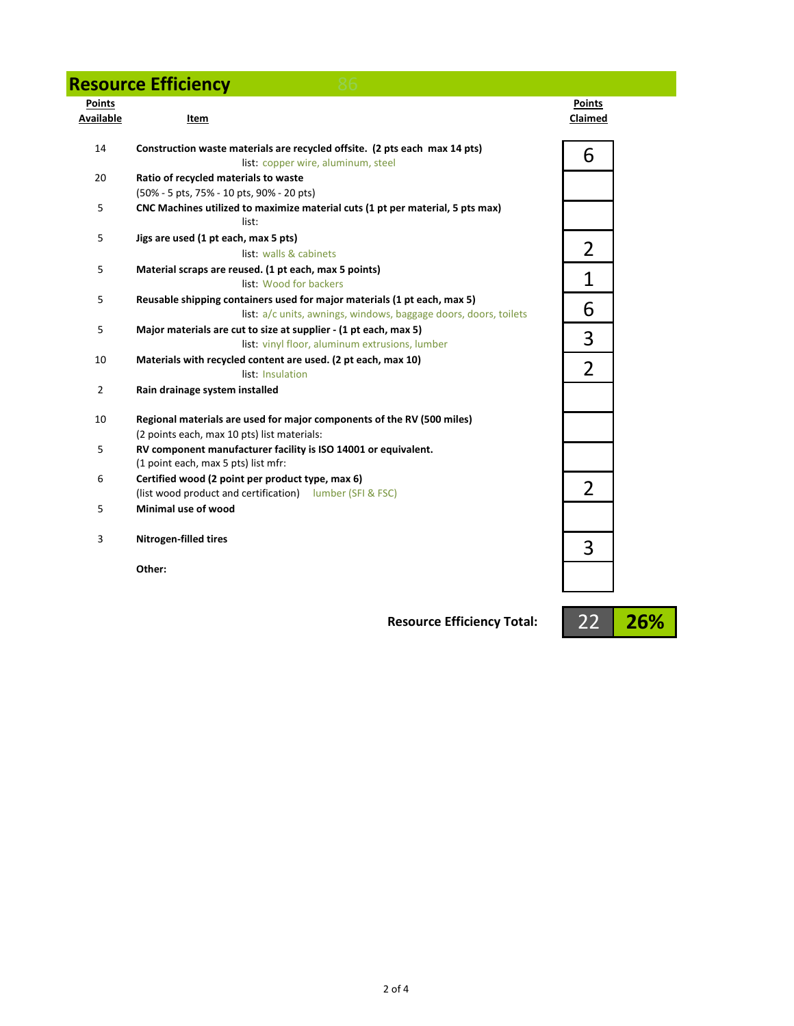### **Resource Efficiency 86**

|  | <b>Contract</b> |
|--|-----------------|
|  |                 |

| <b>Points</b><br>Available | Item                                                                                                                                         | <b>Points</b><br>Claimed |
|----------------------------|----------------------------------------------------------------------------------------------------------------------------------------------|--------------------------|
| 14                         | Construction waste materials are recycled offsite. (2 pts each max 14 pts)<br>list: copper wire, aluminum, steel                             | 6                        |
| 20                         | Ratio of recycled materials to waste<br>(50% - 5 pts, 75% - 10 pts, 90% - 20 pts)                                                            |                          |
| 5                          | CNC Machines utilized to maximize material cuts (1 pt per material, 5 pts max)<br>list:                                                      |                          |
| 5                          | Jigs are used (1 pt each, max 5 pts)<br>list: walls & cabinets                                                                               | 2                        |
| 5                          | Material scraps are reused. (1 pt each, max 5 points)<br>list: Wood for backers                                                              | 1                        |
| 5                          | Reusable shipping containers used for major materials (1 pt each, max 5)<br>list: a/c units, awnings, windows, baggage doors, doors, toilets | 6                        |
| 5                          | Major materials are cut to size at supplier - (1 pt each, max 5)<br>list: vinyl floor, aluminum extrusions, lumber                           | 3                        |
| 10                         | Materials with recycled content are used. (2 pt each, max 10)<br>list: Insulation                                                            | $\overline{2}$           |
| $\overline{2}$             | Rain drainage system installed                                                                                                               |                          |
| 10                         | Regional materials are used for major components of the RV (500 miles)<br>(2 points each, max 10 pts) list materials:                        |                          |
| 5                          | RV component manufacturer facility is ISO 14001 or equivalent.<br>(1 point each, max 5 pts) list mfr:                                        |                          |
| 6                          | Certified wood (2 point per product type, max 6)<br>(list wood product and certification) lumber (SFI & FSC)                                 | 2                        |
| 5                          | Minimal use of wood                                                                                                                          |                          |
| 3                          | <b>Nitrogen-filled tires</b>                                                                                                                 | 3                        |
|                            | Other:                                                                                                                                       |                          |

**Resource Efficiency Total:**

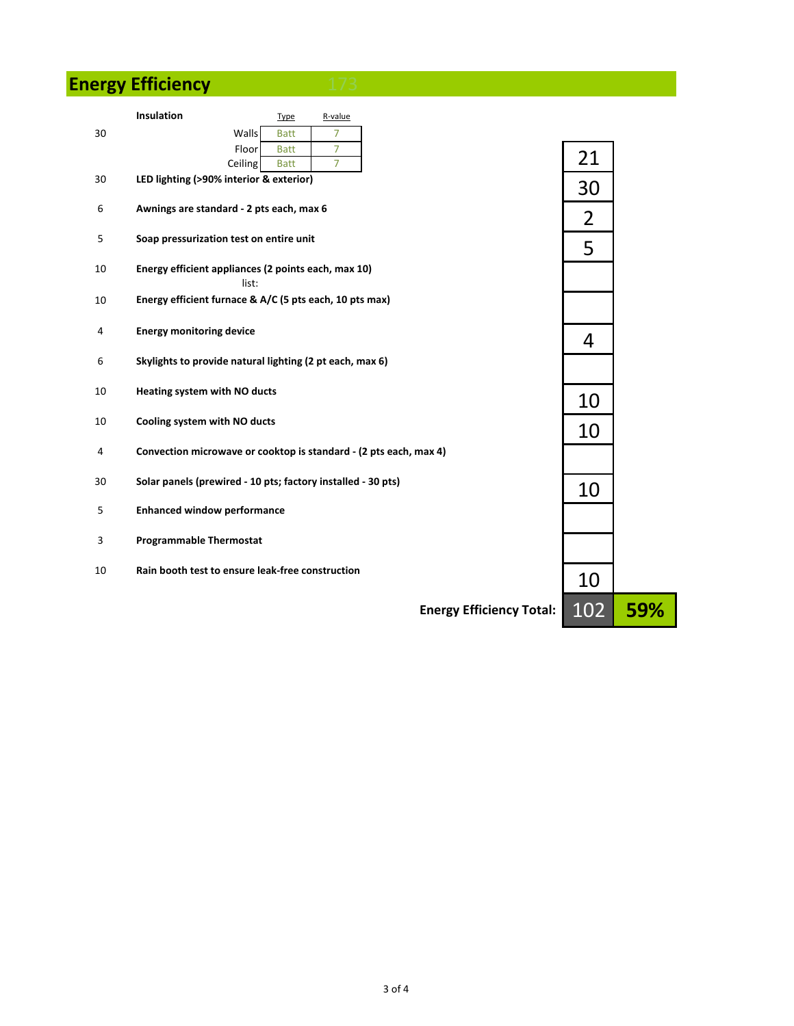# **Energy Efficiency** 173

|    | Insulation                                                        | <b>Type</b> | R-value |                                 |     |     |
|----|-------------------------------------------------------------------|-------------|---------|---------------------------------|-----|-----|
| 30 | Walls                                                             | <b>Batt</b> | 7       |                                 |     |     |
|    | Floor                                                             | <b>Batt</b> | 7       |                                 |     |     |
|    | Ceiling                                                           | <b>Batt</b> | 7       |                                 | 21  |     |
| 30 | LED lighting (>90% interior & exterior)                           |             |         |                                 | 30  |     |
| 6  | Awnings are standard - 2 pts each, max 6                          |             |         |                                 | 2   |     |
| 5  | Soap pressurization test on entire unit                           |             |         |                                 | 5   |     |
| 10 | Energy efficient appliances (2 points each, max 10)<br>list:      |             |         |                                 |     |     |
| 10 | Energy efficient furnace & A/C (5 pts each, 10 pts max)           |             |         |                                 |     |     |
| 4  | <b>Energy monitoring device</b>                                   |             |         |                                 | 4   |     |
| 6  | Skylights to provide natural lighting (2 pt each, max 6)          |             |         |                                 |     |     |
| 10 | Heating system with NO ducts                                      |             |         |                                 | 10  |     |
| 10 | Cooling system with NO ducts                                      |             |         |                                 | 10  |     |
| 4  | Convection microwave or cooktop is standard - (2 pts each, max 4) |             |         |                                 |     |     |
| 30 | Solar panels (prewired - 10 pts; factory installed - 30 pts)      |             |         |                                 | 10  |     |
| 5  | <b>Enhanced window performance</b>                                |             |         |                                 |     |     |
| 3  | <b>Programmable Thermostat</b>                                    |             |         |                                 |     |     |
| 10 | Rain booth test to ensure leak-free construction                  |             |         |                                 | 10  |     |
|    |                                                                   |             |         | <b>Energy Efficiency Total:</b> | 102 | 59% |